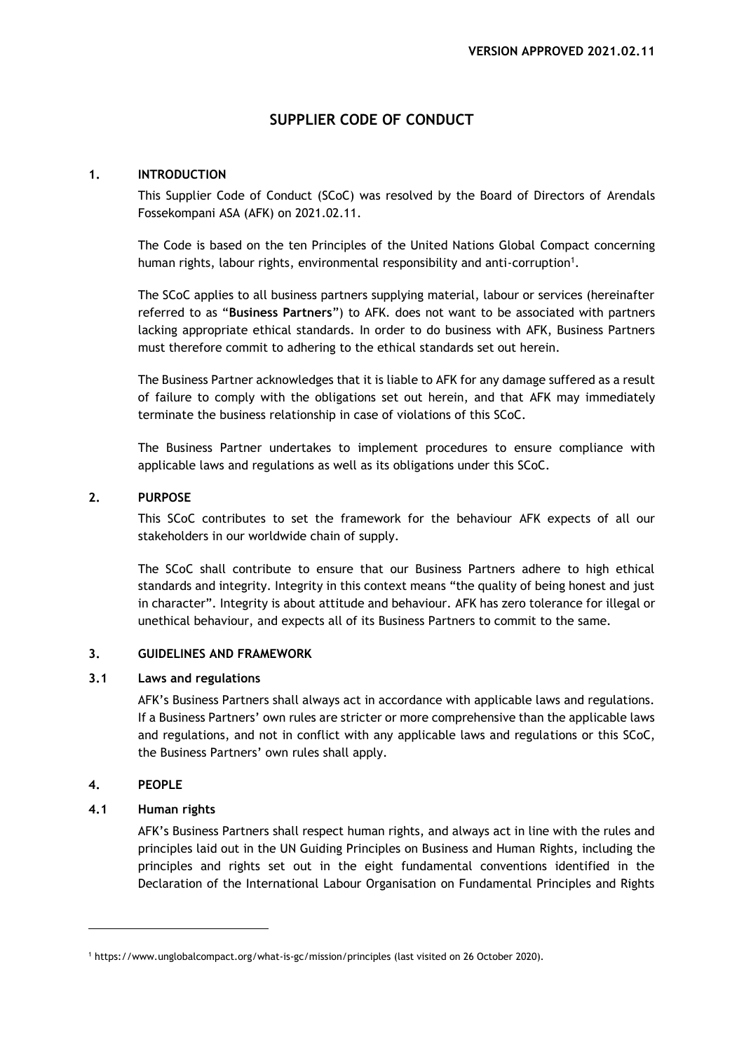# **SUPPLIER CODE OF CONDUCT**

# **1. INTRODUCTION**

This Supplier Code of Conduct (SCoC) was resolved by the Board of Directors of Arendals Fossekompani ASA (AFK) on 2021.02.11.

The Code is based on the ten Principles of the United Nations Global Compact concerning human rights, labour rights, environmental responsibility and anti-corruption<sup>1</sup>.

The SCoC applies to all business partners supplying material, labour or services (hereinafter referred to as "**Business Partners**") to AFK. does not want to be associated with partners lacking appropriate ethical standards. In order to do business with AFK, Business Partners must therefore commit to adhering to the ethical standards set out herein.

The Business Partner acknowledges that it is liable to AFK for any damage suffered as a result of failure to comply with the obligations set out herein, and that AFK may immediately terminate the business relationship in case of violations of this SCoC.

The Business Partner undertakes to implement procedures to ensure compliance with applicable laws and regulations as well as its obligations under this SCoC.

# **2. PURPOSE**

This SCoC contributes to set the framework for the behaviour AFK expects of all our stakeholders in our worldwide chain of supply.

The SCoC shall contribute to ensure that our Business Partners adhere to high ethical standards and integrity. Integrity in this context means "the quality of being honest and just in character". Integrity is about attitude and behaviour. AFK has zero tolerance for illegal or unethical behaviour, and expects all of its Business Partners to commit to the same.

# **3. GUIDELINES AND FRAMEWORK**

# **3.1 Laws and regulations**

AFK's Business Partners shall always act in accordance with applicable laws and regulations. If a Business Partners' own rules are stricter or more comprehensive than the applicable laws and regulations, and not in conflict with any applicable laws and regulations or this SCoC, the Business Partners' own rules shall apply.

# **4. PEOPLE**

# **4.1 Human rights**

AFK's Business Partners shall respect human rights, and always act in line with the rules and principles laid out in the UN Guiding Principles on Business and Human Rights, including the principles and rights set out in the eight fundamental conventions identified in the Declaration of the International Labour Organisation on Fundamental Principles and Rights

<sup>1</sup> <https://www.unglobalcompact.org/what-is-gc/mission/principles> (last visited on 26 October 2020).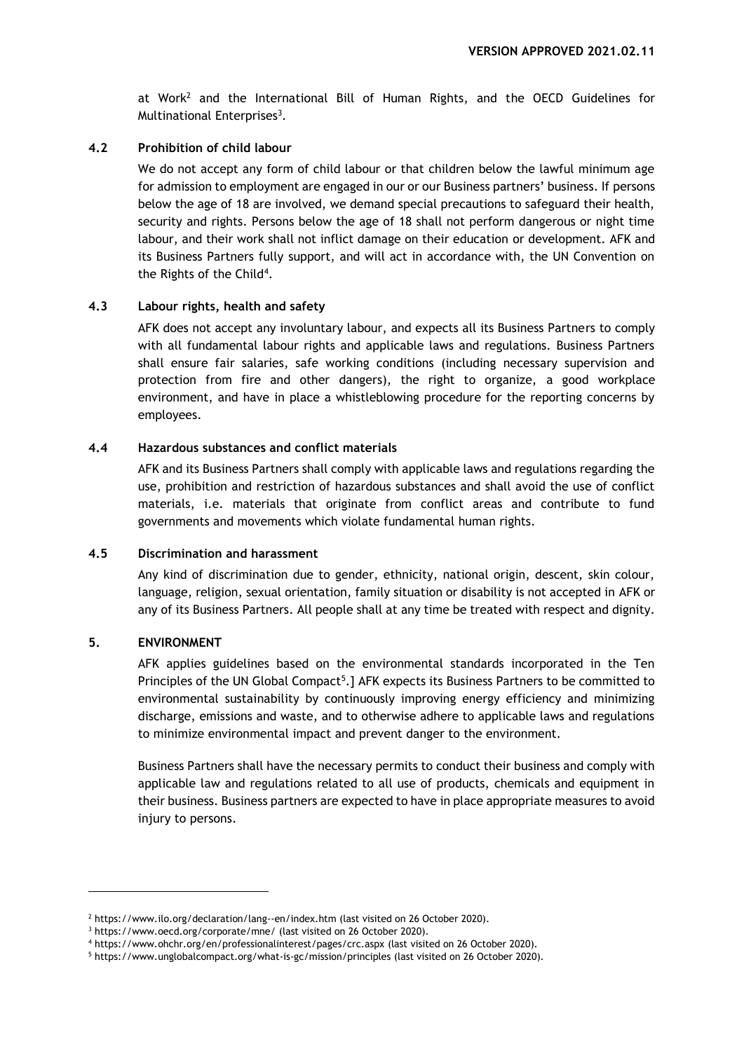at Work<sup>2</sup> and the International Bill of Human Rights, and the OECD Guidelines for Multinational Enterprises<sup>3</sup>.

#### **4.2 Prohibition of child labour**

We do not accept any form of child labour or that children below the lawful minimum age for admission to employment are engaged in our or our Business partners' business. If persons below the age of 18 are involved, we demand special precautions to safeguard their health, security and rights. Persons below the age of 18 shall not perform dangerous or night time labour, and their work shall not inflict damage on their education or development. AFK and its Business Partners fully support, and will act in accordance with, the UN Convention on the Rights of the Child<sup>4</sup>.

#### **4.3 Labour rights, health and safety**

AFK does not accept any involuntary labour, and expects all its Business Partners to comply with all fundamental labour rights and applicable laws and regulations. Business Partners shall ensure fair salaries, safe working conditions (including necessary supervision and protection from fire and other dangers), the right to organize, a good workplace environment, and have in place a whistleblowing procedure for the reporting concerns by employees.

#### **4.4 Hazardous substances and conflict materials**

AFK and its Business Partners shall comply with applicable laws and regulations regarding the use, prohibition and restriction of hazardous substances and shall avoid the use of conflict materials, i.e. materials that originate from conflict areas and contribute to fund governments and movements which violate fundamental human rights.

#### **4.5 Discrimination and harassment**

Any kind of discrimination due to gender, ethnicity, national origin, descent, skin colour, language, religion, sexual orientation, family situation or disability is not accepted in AFK or any of its Business Partners. All people shall at any time be treated with respect and dignity.

#### **5. ENVIRONMENT**

AFK applies guidelines based on the environmental standards incorporated in the Ten Principles of the UN Global Compact<sup>5</sup>.] AFK expects its Business Partners to be committed to environmental sustainability by continuously improving energy efficiency and minimizing discharge, emissions and waste, and to otherwise adhere to applicable laws and regulations to minimize environmental impact and prevent danger to the environment.

Business Partners shall have the necessary permits to conduct their business and comply with applicable law and regulations related to all use of products, chemicals and equipment in their business. Business partners are expected to have in place appropriate measures to avoid injury to persons.

<sup>&</sup>lt;sup>2</sup> <https://www.ilo.org/declaration/lang--en/index.htm> (last visited on 26 October 2020).

<sup>3</sup> <https://www.oecd.org/corporate/mne/> (last visited on 26 October 2020).

<sup>4</sup> <https://www.ohchr.org/en/professionalinterest/pages/crc.aspx> (last visited on 26 October 2020).

<sup>5</sup> <https://www.unglobalcompact.org/what-is-gc/mission/principles> (last visited on 26 October 2020).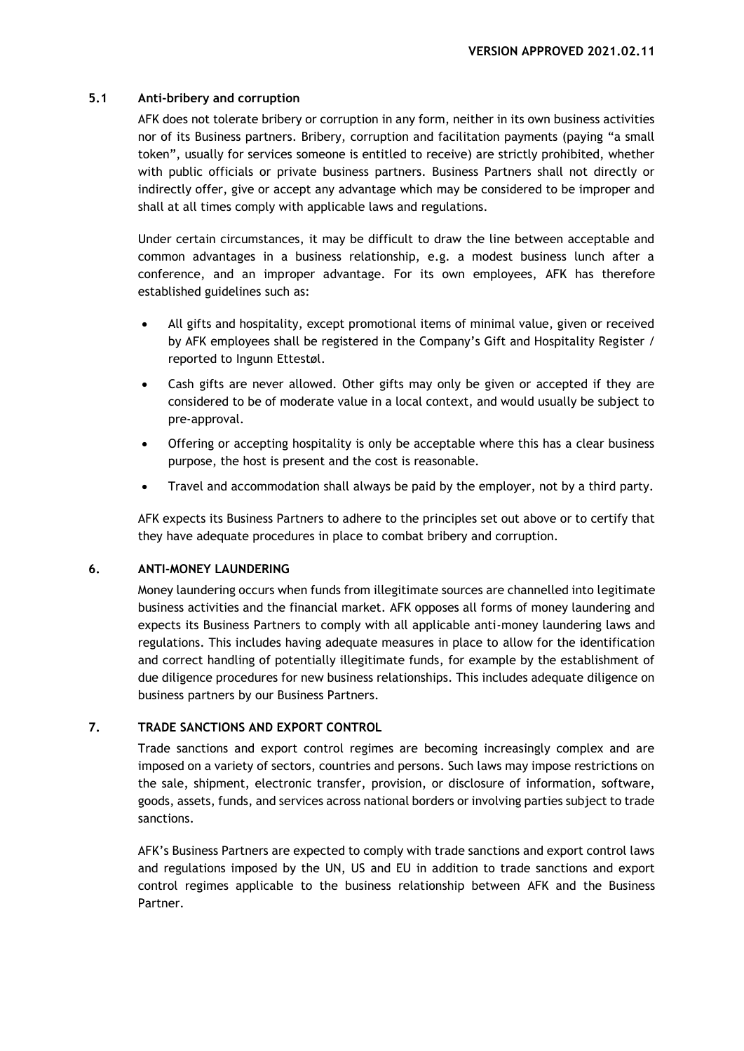#### **5.1 Anti-bribery and corruption**

AFK does not tolerate bribery or corruption in any form, neither in its own business activities nor of its Business partners. Bribery, corruption and facilitation payments (paying "a small token", usually for services someone is entitled to receive) are strictly prohibited, whether with public officials or private business partners. Business Partners shall not directly or indirectly offer, give or accept any advantage which may be considered to be improper and shall at all times comply with applicable laws and regulations.

Under certain circumstances, it may be difficult to draw the line between acceptable and common advantages in a business relationship, e.g. a modest business lunch after a conference, and an improper advantage. For its own employees, AFK has therefore established guidelines such as:

- All gifts and hospitality, except promotional items of minimal value, given or received by AFK employees shall be registered in the Company's Gift and Hospitality Register / reported to Ingunn Ettestøl.
- Cash gifts are never allowed. Other gifts may only be given or accepted if they are considered to be of moderate value in a local context, and would usually be subject to pre-approval.
- Offering or accepting hospitality is only be acceptable where this has a clear business purpose, the host is present and the cost is reasonable.
- Travel and accommodation shall always be paid by the employer, not by a third party.

AFK expects its Business Partners to adhere to the principles set out above or to certify that they have adequate procedures in place to combat bribery and corruption.

#### **6. ANTI-MONEY LAUNDERING**

Money laundering occurs when funds from illegitimate sources are channelled into legitimate business activities and the financial market. AFK opposes all forms of money laundering and expects its Business Partners to comply with all applicable anti-money laundering laws and regulations. This includes having adequate measures in place to allow for the identification and correct handling of potentially illegitimate funds, for example by the establishment of due diligence procedures for new business relationships. This includes adequate diligence on business partners by our Business Partners.

# **7. TRADE SANCTIONS AND EXPORT CONTROL**

Trade sanctions and export control regimes are becoming increasingly complex and are imposed on a variety of sectors, countries and persons. Such laws may impose restrictions on the sale, shipment, electronic transfer, provision, or disclosure of information, software, goods, assets, funds, and services across national borders or involving parties subject to trade sanctions.

AFK's Business Partners are expected to comply with trade sanctions and export control laws and regulations imposed by the UN, US and EU in addition to trade sanctions and export control regimes applicable to the business relationship between AFK and the Business Partner.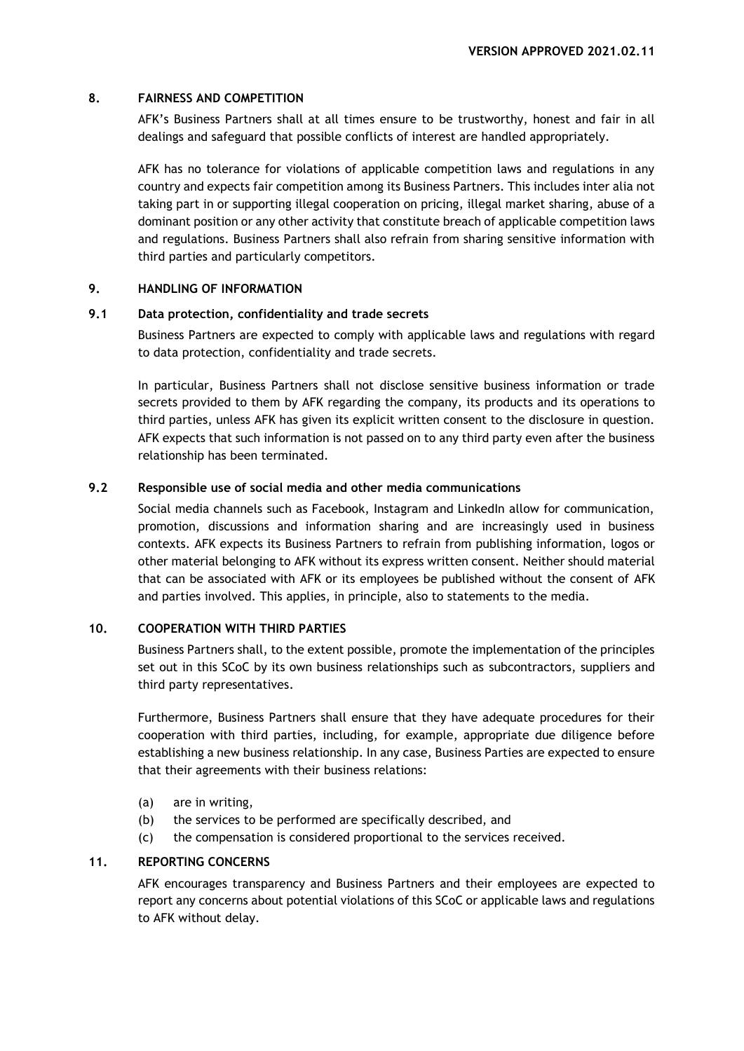#### **8. FAIRNESS AND COMPETITION**

AFK's Business Partners shall at all times ensure to be trustworthy, honest and fair in all dealings and safeguard that possible conflicts of interest are handled appropriately.

AFK has no tolerance for violations of applicable competition laws and regulations in any country and expects fair competition among its Business Partners. This includes inter alia not taking part in or supporting illegal cooperation on pricing, illegal market sharing, abuse of a dominant position or any other activity that constitute breach of applicable competition laws and regulations. Business Partners shall also refrain from sharing sensitive information with third parties and particularly competitors.

#### **9. HANDLING OF INFORMATION**

#### **9.1 Data protection, confidentiality and trade secrets**

Business Partners are expected to comply with applicable laws and regulations with regard to data protection, confidentiality and trade secrets.

In particular, Business Partners shall not disclose sensitive business information or trade secrets provided to them by AFK regarding the company, its products and its operations to third parties, unless AFK has given its explicit written consent to the disclosure in question. AFK expects that such information is not passed on to any third party even after the business relationship has been terminated.

# **9.2 Responsible use of social media and other media communications**

Social media channels such as Facebook, Instagram and LinkedIn allow for communication, promotion, discussions and information sharing and are increasingly used in business contexts. AFK expects its Business Partners to refrain from publishing information, logos or other material belonging to AFK without its express written consent. Neither should material that can be associated with AFK or its employees be published without the consent of AFK and parties involved. This applies, in principle, also to statements to the media.

# **10. COOPERATION WITH THIRD PARTIES**

Business Partners shall, to the extent possible, promote the implementation of the principles set out in this SCoC by its own business relationships such as subcontractors, suppliers and third party representatives.

Furthermore, Business Partners shall ensure that they have adequate procedures for their cooperation with third parties, including, for example, appropriate due diligence before establishing a new business relationship. In any case, Business Parties are expected to ensure that their agreements with their business relations:

- (a) are in writing,
- (b) the services to be performed are specifically described, and
- (c) the compensation is considered proportional to the services received.

#### **11. REPORTING CONCERNS**

AFK encourages transparency and Business Partners and their employees are expected to report any concerns about potential violations of this SCoC or applicable laws and regulations to AFK without delay.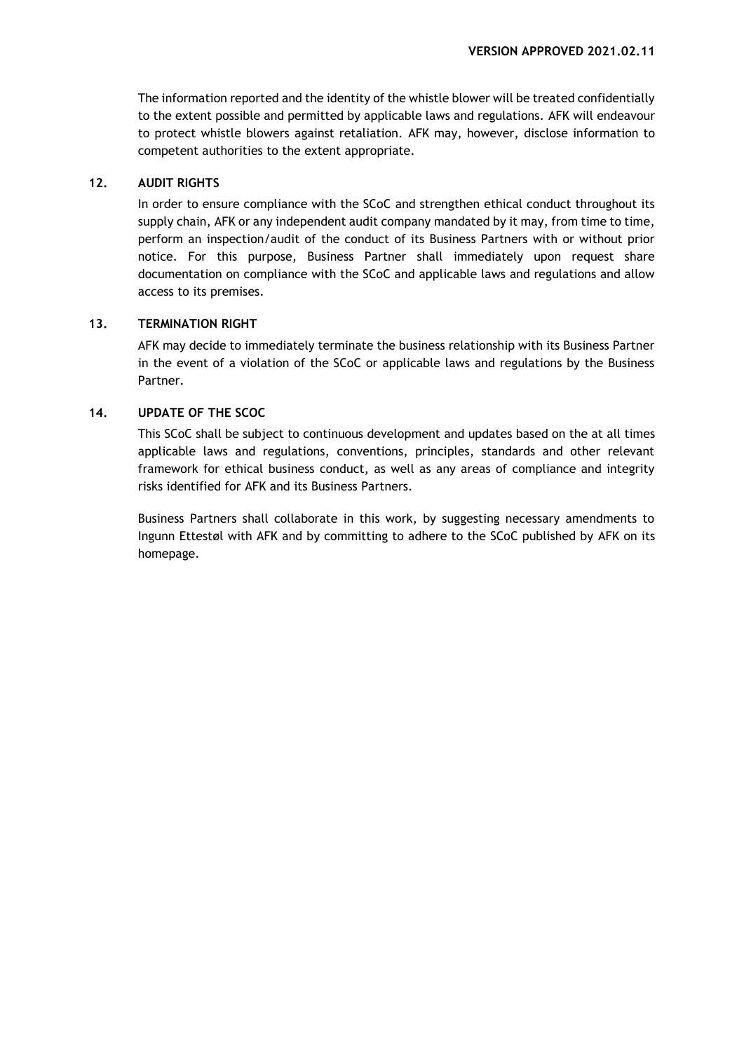The information reported and the identity of the whistle blower will be treated confidentially to the extent possible and permitted by applicable laws and regulations. AFK will endeavour to protect whistle blowers against retaliation. AFK may, however, disclose information to competent authorities to the extent appropriate.

# **12. AUDIT RIGHTS**

In order to ensure compliance with the SCoC and strengthen ethical conduct throughout its supply chain, AFK or any independent audit company mandated by it may, from time to time, perform an inspection/audit of the conduct of its Business Partners with or without prior notice. For this purpose, Business Partner shall immediately upon request share documentation on compliance with the SCoC and applicable laws and regulations and allow access to its premises.

# **13. TERMINATION RIGHT**

AFK may decide to immediately terminate the business relationship with its Business Partner in the event of a violation of the SCoC or applicable laws and regulations by the Business Partner.

# **14. UPDATE OF THE SCOC**

This SCoC shall be subject to continuous development and updates based on the at all times applicable laws and regulations, conventions, principles, standards and other relevant framework for ethical business conduct, as well as any areas of compliance and integrity risks identified for AFK and its Business Partners.

Business Partners shall collaborate in this work, by suggesting necessary amendments to Ingunn Ettestøl with AFK and by committing to adhere to the SCoC published by AFK on its homepage.